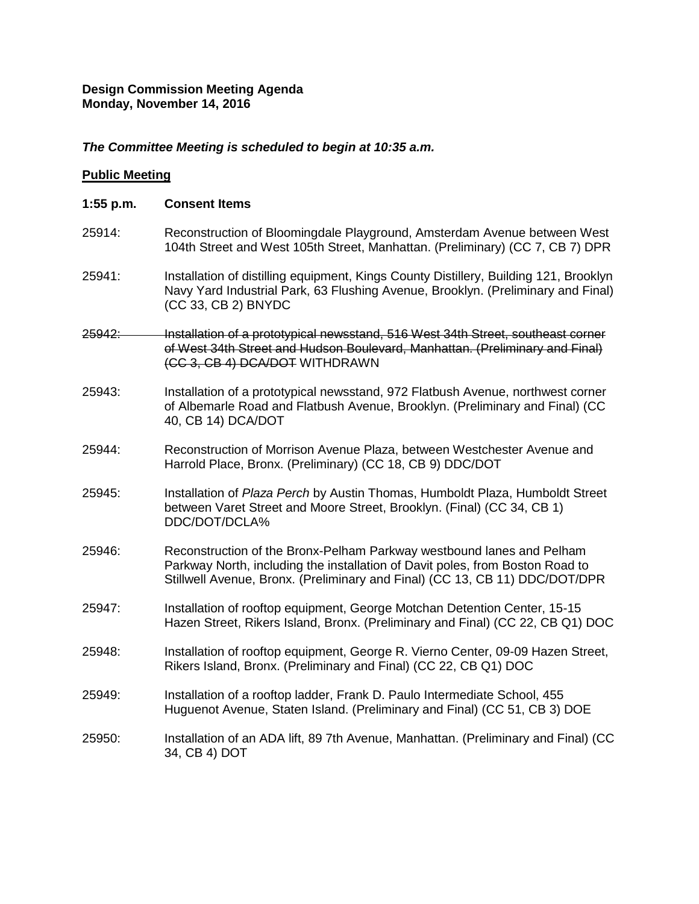### **Design Commission Meeting Agenda Monday, November 14, 2016**

## *The Committee Meeting is scheduled to begin at 10:35 a.m.*

### **Public Meeting**

| $1:55$ p.m. | <b>Consent Items</b>                                                                                                                                                                                                                  |
|-------------|---------------------------------------------------------------------------------------------------------------------------------------------------------------------------------------------------------------------------------------|
| 25914:      | Reconstruction of Bloomingdale Playground, Amsterdam Avenue between West<br>104th Street and West 105th Street, Manhattan. (Preliminary) (CC 7, CB 7) DPR                                                                             |
| 25941:      | Installation of distilling equipment, Kings County Distillery, Building 121, Brooklyn<br>Navy Yard Industrial Park, 63 Flushing Avenue, Brooklyn. (Preliminary and Final)<br>(CC 33, CB 2) BNYDC                                      |
| 25942:      | Installation of a prototypical newsstand, 516 West 34th Street, southeast corner<br>of West 34th Street and Hudson Boulevard, Manhattan. (Preliminary and Final)<br>(CC 3, CB 4) DCA/DOT WITHDRAWN                                    |
| 25943:      | Installation of a prototypical newsstand, 972 Flatbush Avenue, northwest corner<br>of Albemarle Road and Flatbush Avenue, Brooklyn. (Preliminary and Final) (CC<br>40, CB 14) DCA/DOT                                                 |
| 25944:      | Reconstruction of Morrison Avenue Plaza, between Westchester Avenue and<br>Harrold Place, Bronx. (Preliminary) (CC 18, CB 9) DDC/DOT                                                                                                  |
| 25945:      | Installation of Plaza Perch by Austin Thomas, Humboldt Plaza, Humboldt Street<br>between Varet Street and Moore Street, Brooklyn. (Final) (CC 34, CB 1)<br>DDC/DOT/DCLA%                                                              |
| 25946:      | Reconstruction of the Bronx-Pelham Parkway westbound lanes and Pelham<br>Parkway North, including the installation of Davit poles, from Boston Road to<br>Stillwell Avenue, Bronx. (Preliminary and Final) (CC 13, CB 11) DDC/DOT/DPR |
| 25947:      | Installation of rooftop equipment, George Motchan Detention Center, 15-15<br>Hazen Street, Rikers Island, Bronx. (Preliminary and Final) (CC 22, CB Q1) DOC                                                                           |
| 25948:      | Installation of rooftop equipment, George R. Vierno Center, 09-09 Hazen Street,<br>Rikers Island, Bronx. (Preliminary and Final) (CC 22, CB Q1) DOC                                                                                   |
| 25949:      | Installation of a rooftop ladder, Frank D. Paulo Intermediate School, 455<br>Huguenot Avenue, Staten Island. (Preliminary and Final) (CC 51, CB 3) DOE                                                                                |
| 25950:      | Installation of an ADA lift, 89 7th Avenue, Manhattan. (Preliminary and Final) (CC<br>34, CB 4) DOT                                                                                                                                   |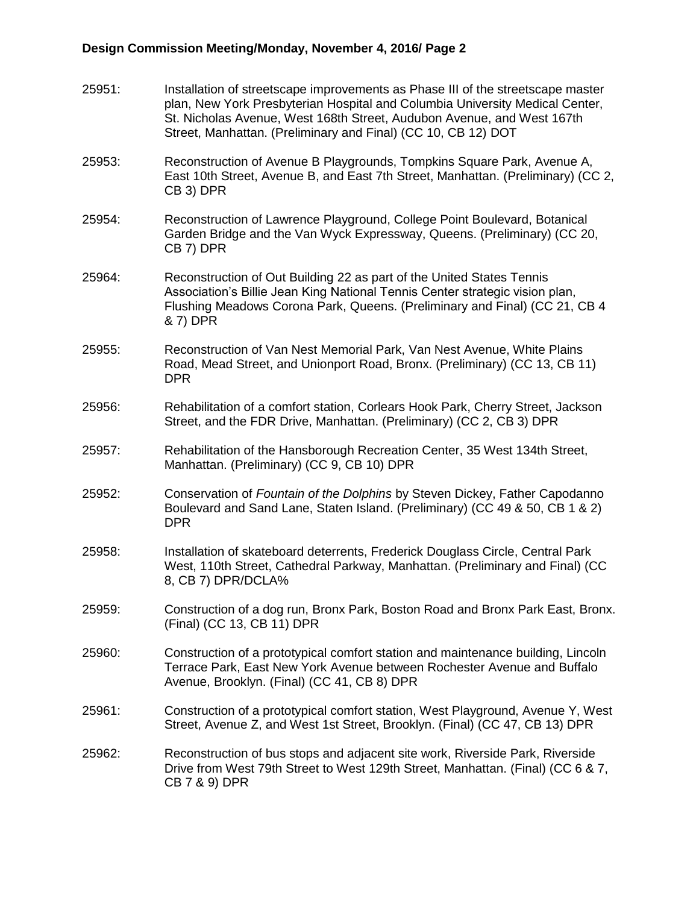# **Design Commission Meeting/Monday, November 4, 2016/ Page 2**

| 25951: | Installation of streetscape improvements as Phase III of the streetscape master<br>plan, New York Presbyterian Hospital and Columbia University Medical Center,<br>St. Nicholas Avenue, West 168th Street, Audubon Avenue, and West 167th<br>Street, Manhattan. (Preliminary and Final) (CC 10, CB 12) DOT |
|--------|------------------------------------------------------------------------------------------------------------------------------------------------------------------------------------------------------------------------------------------------------------------------------------------------------------|
| 25953: | Reconstruction of Avenue B Playgrounds, Tompkins Square Park, Avenue A,<br>East 10th Street, Avenue B, and East 7th Street, Manhattan. (Preliminary) (CC 2,<br>CB 3) DPR                                                                                                                                   |
| 25954: | Reconstruction of Lawrence Playground, College Point Boulevard, Botanical<br>Garden Bridge and the Van Wyck Expressway, Queens. (Preliminary) (CC 20,<br>CB 7) DPR                                                                                                                                         |
| 25964: | Reconstruction of Out Building 22 as part of the United States Tennis<br>Association's Billie Jean King National Tennis Center strategic vision plan,<br>Flushing Meadows Corona Park, Queens. (Preliminary and Final) (CC 21, CB 4<br>& 7) DPR                                                            |
| 25955: | Reconstruction of Van Nest Memorial Park, Van Nest Avenue, White Plains<br>Road, Mead Street, and Unionport Road, Bronx. (Preliminary) (CC 13, CB 11)<br><b>DPR</b>                                                                                                                                        |
| 25956: | Rehabilitation of a comfort station, Corlears Hook Park, Cherry Street, Jackson<br>Street, and the FDR Drive, Manhattan. (Preliminary) (CC 2, CB 3) DPR                                                                                                                                                    |
| 25957: | Rehabilitation of the Hansborough Recreation Center, 35 West 134th Street,<br>Manhattan. (Preliminary) (CC 9, CB 10) DPR                                                                                                                                                                                   |
| 25952: | Conservation of Fountain of the Dolphins by Steven Dickey, Father Capodanno<br>Boulevard and Sand Lane, Staten Island. (Preliminary) (CC 49 & 50, CB 1 & 2)<br><b>DPR</b>                                                                                                                                  |
| 25958: | Installation of skateboard deterrents, Frederick Douglass Circle, Central Park<br>West, 110th Street, Cathedral Parkway, Manhattan. (Preliminary and Final) (CC<br>8, CB 7) DPR/DCLA%                                                                                                                      |
| 25959: | Construction of a dog run, Bronx Park, Boston Road and Bronx Park East, Bronx.<br>(Final) (CC 13, CB 11) DPR                                                                                                                                                                                               |
| 25960: | Construction of a prototypical comfort station and maintenance building, Lincoln<br>Terrace Park, East New York Avenue between Rochester Avenue and Buffalo<br>Avenue, Brooklyn. (Final) (CC 41, CB 8) DPR                                                                                                 |
| 25961: | Construction of a prototypical comfort station, West Playground, Avenue Y, West<br>Street, Avenue Z, and West 1st Street, Brooklyn. (Final) (CC 47, CB 13) DPR                                                                                                                                             |
| 25962: | Reconstruction of bus stops and adjacent site work, Riverside Park, Riverside<br>Drive from West 79th Street to West 129th Street, Manhattan. (Final) (CC 6 & 7,<br>CB 7 & 9) DPR                                                                                                                          |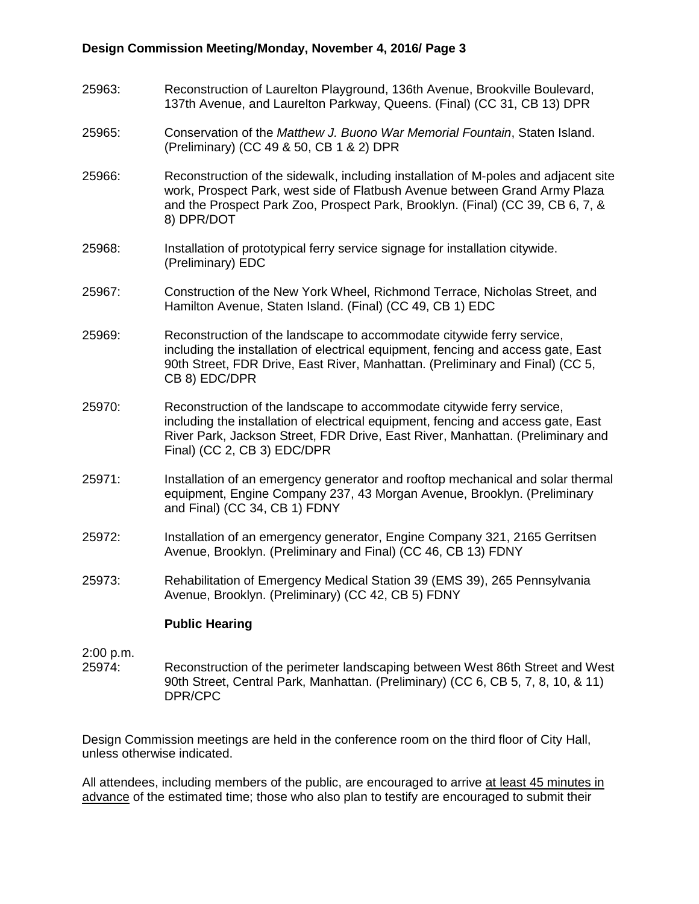### **Design Commission Meeting/Monday, November 4, 2016/ Page 3**

- 25963: Reconstruction of Laurelton Playground, 136th Avenue, Brookville Boulevard, 137th Avenue, and Laurelton Parkway, Queens. (Final) (CC 31, CB 13) DPR
- 25965: Conservation of the *Matthew J. Buono War Memorial Fountain*, Staten Island. (Preliminary) (CC 49 & 50, CB 1 & 2) DPR
- 25966: Reconstruction of the sidewalk, including installation of M-poles and adjacent site work, Prospect Park, west side of Flatbush Avenue between Grand Army Plaza and the Prospect Park Zoo, Prospect Park, Brooklyn. (Final) (CC 39, CB 6, 7, & 8) DPR/DOT
- 25968: Installation of prototypical ferry service signage for installation citywide. (Preliminary) EDC
- 25967: Construction of the New York Wheel, Richmond Terrace, Nicholas Street, and Hamilton Avenue, Staten Island. (Final) (CC 49, CB 1) EDC
- 25969: Reconstruction of the landscape to accommodate citywide ferry service, including the installation of electrical equipment, fencing and access gate, East 90th Street, FDR Drive, East River, Manhattan. (Preliminary and Final) (CC 5, CB 8) EDC/DPR
- 25970: Reconstruction of the landscape to accommodate citywide ferry service, including the installation of electrical equipment, fencing and access gate, East River Park, Jackson Street, FDR Drive, East River, Manhattan. (Preliminary and Final) (CC 2, CB 3) EDC/DPR
- 25971: Installation of an emergency generator and rooftop mechanical and solar thermal equipment, Engine Company 237, 43 Morgan Avenue, Brooklyn. (Preliminary and Final) (CC 34, CB 1) FDNY
- 25972: Installation of an emergency generator, Engine Company 321, 2165 Gerritsen Avenue, Brooklyn. (Preliminary and Final) (CC 46, CB 13) FDNY
- 25973: Rehabilitation of Emergency Medical Station 39 (EMS 39), 265 Pennsylvania Avenue, Brooklyn. (Preliminary) (CC 42, CB 5) FDNY

#### **Public Hearing**

- 2:00 p.m.
- 25974: Reconstruction of the perimeter landscaping between West 86th Street and West 90th Street, Central Park, Manhattan. (Preliminary) (CC 6, CB 5, 7, 8, 10, & 11) DPR/CPC

Design Commission meetings are held in the conference room on the third floor of City Hall, unless otherwise indicated.

All attendees, including members of the public, are encouraged to arrive at least 45 minutes in advance of the estimated time; those who also plan to testify are encouraged to submit their